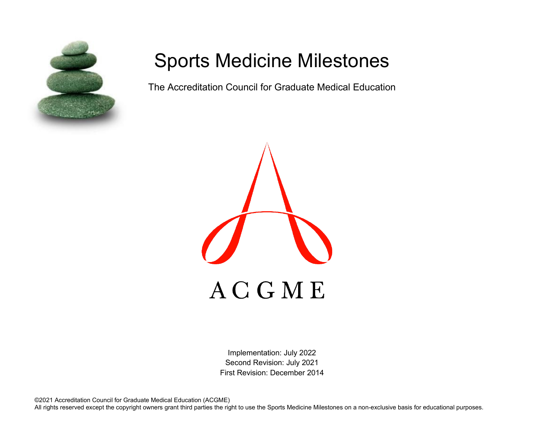

# Sports Medicine Milestones

The Accreditation Council for Graduate Medical Education



Implementation: July 2022 Second Revision: July 2021 First Revision: December 2014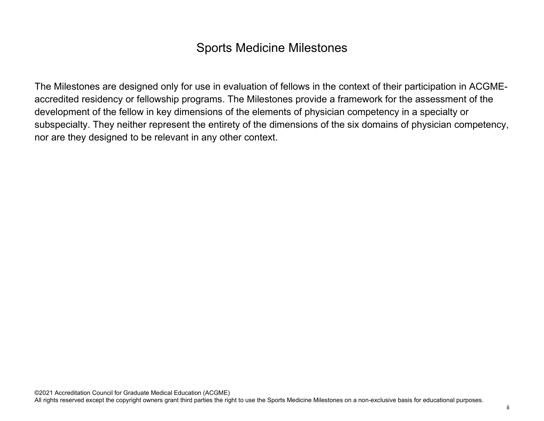## Sports Medicine Milestones

The Milestones are designed only for use in evaluation of fellows in the context of their participation in ACGMEaccredited residency or fellowship programs. The Milestones provide a framework for the assessment of the development of the fellow in key dimensions of the elements of physician competency in a specialty or subspecialty. They neither represent the entirety of the dimensions of the six domains of physician competency, nor are they designed to be relevant in any other context.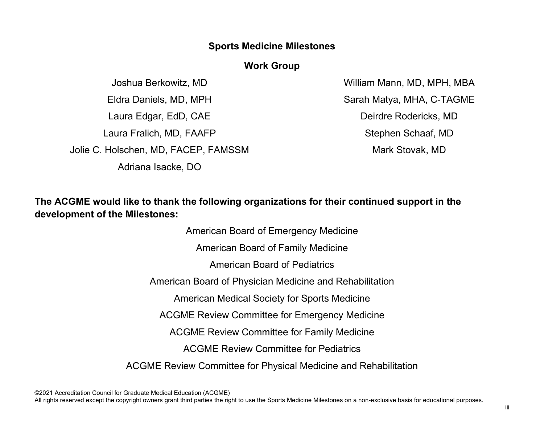#### **Sports Medicine Milestones**

#### **Work Group**

Joshua Berkowitz, MD Eldra Daniels, MD, MPH Laura Edgar, EdD, CAE Laura Fralich, MD, FAAFP Jolie C. Holschen, MD, FACEP, FAMSSM Adriana Isacke, DO

William Mann, MD, MPH, MBA Sarah Matya, MHA, C-TAGME Deirdre Rodericks, MD Stephen Schaaf, MD Mark Stovak, MD

**The ACGME would like to thank the following organizations for their continued support in the development of the Milestones:**

> American Board of Emergency Medicine American Board of Family Medicine American Board of Pediatrics American Board of Physician Medicine and Rehabilitation American Medical Society for Sports Medicine ACGME Review Committee for Emergency Medicine ACGME Review Committee for Family Medicine ACGME Review Committee for Pediatrics ACGME Review Committee for Physical Medicine and Rehabilitation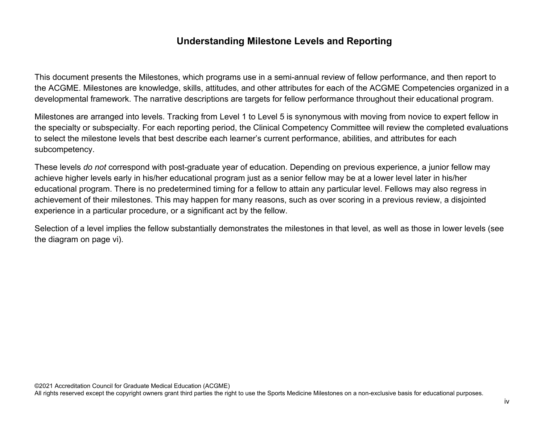### **Understanding Milestone Levels and Reporting**

This document presents the Milestones, which programs use in a semi-annual review of fellow performance, and then report to the ACGME. Milestones are knowledge, skills, attitudes, and other attributes for each of the ACGME Competencies organized in a developmental framework. The narrative descriptions are targets for fellow performance throughout their educational program.

Milestones are arranged into levels. Tracking from Level 1 to Level 5 is synonymous with moving from novice to expert fellow in the specialty or subspecialty. For each reporting period, the Clinical Competency Committee will review the completed evaluations to select the milestone levels that best describe each learner's current performance, abilities, and attributes for each subcompetency.

These levels *do not* correspond with post-graduate year of education. Depending on previous experience, a junior fellow may achieve higher levels early in his/her educational program just as a senior fellow may be at a lower level later in his/her educational program. There is no predetermined timing for a fellow to attain any particular level. Fellows may also regress in achievement of their milestones. This may happen for many reasons, such as over scoring in a previous review, a disjointed experience in a particular procedure, or a significant act by the fellow.

Selection of a level implies the fellow substantially demonstrates the milestones in that level, as well as those in lower levels (see the diagram on page vi).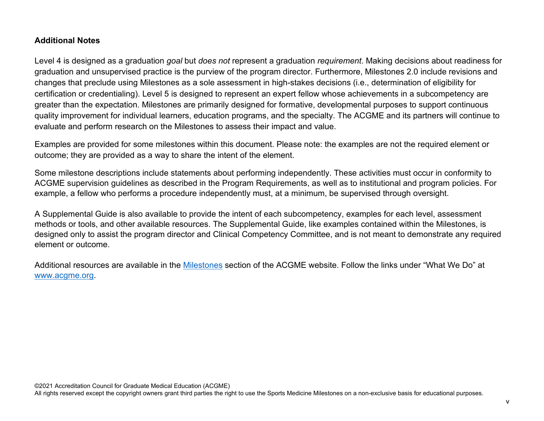#### **Additional Notes**

Level 4 is designed as a graduation *goal* but *does not* represent a graduation *requirement*. Making decisions about readiness for graduation and unsupervised practice is the purview of the program director. Furthermore, Milestones 2.0 include revisions and changes that preclude using Milestones as a sole assessment in high-stakes decisions (i.e., determination of eligibility for certification or credentialing). Level 5 is designed to represent an expert fellow whose achievements in a subcompetency are greater than the expectation. Milestones are primarily designed for formative, developmental purposes to support continuous quality improvement for individual learners, education programs, and the specialty. The ACGME and its partners will continue to evaluate and perform research on the Milestones to assess their impact and value.

Examples are provided for some milestones within this document. Please note: the examples are not the required element or outcome; they are provided as a way to share the intent of the element.

Some milestone descriptions include statements about performing independently. These activities must occur in conformity to ACGME supervision guidelines as described in the Program Requirements, as well as to institutional and program policies. For example, a fellow who performs a procedure independently must, at a minimum, be supervised through oversight.

A Supplemental Guide is also available to provide the intent of each subcompetency, examples for each level, assessment methods or tools, and other available resources. The Supplemental Guide, like examples contained within the Milestones, is designed only to assist the program director and Clinical Competency Committee, and is not meant to demonstrate any required element or outcome.

Additional resources are available in the [Milestones](http://www.acgme.org/What-We-Do/Accreditation/Milestones/Overview) section of the ACGME website. Follow the links under "What We Do" at [www.acgme.org.](http://www.acgme.org/)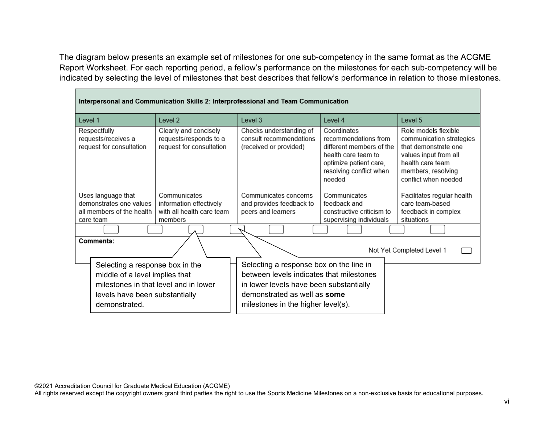The diagram below presents an example set of milestones for one sub-competency in the same format as the ACGME Report Worksheet. For each reporting period, a fellow's performance on the milestones for each sub-competency will be indicated by selecting the level of milestones that best describes that fellow's performance in relation to those milestones.

п

| Interpersonal and Communication Skills 2: Interprofessional and Team Communication                                   |                                                                                 |                                                                                                                                                                                                      |                                                                                                                                                       |                                                                                                                                                                     |
|----------------------------------------------------------------------------------------------------------------------|---------------------------------------------------------------------------------|------------------------------------------------------------------------------------------------------------------------------------------------------------------------------------------------------|-------------------------------------------------------------------------------------------------------------------------------------------------------|---------------------------------------------------------------------------------------------------------------------------------------------------------------------|
| Level 1                                                                                                              | Level 2                                                                         | Level 3                                                                                                                                                                                              | Level 4                                                                                                                                               | Level 5                                                                                                                                                             |
| Respectfully<br>requests/receives a<br>request for consultation                                                      | Clearly and concisely<br>requests/responds to a<br>request for consultation     | Checks understanding of<br>consult recommendations<br>(received or provided)                                                                                                                         | Coordinates<br>recommendations from<br>different members of the<br>health care team to<br>optimize patient care,<br>resolving conflict when<br>needed | Role models flexible<br>communication strategies<br>that demonstrate one<br>values input from all<br>health care team<br>members, resolving<br>conflict when needed |
| Uses language that<br>demonstrates one values<br>all members of the health<br>care team                              | Communicates<br>information effectively<br>with all health care team<br>members | Communicates concerns<br>and provides feedback to<br>peers and learners                                                                                                                              | Communicates<br>feedback and<br>constructive criticism to                                                                                             | Facilitates regular health<br>care team-based<br>feedback in complex<br>situations                                                                                  |
|                                                                                                                      |                                                                                 |                                                                                                                                                                                                      | supervising individuals                                                                                                                               |                                                                                                                                                                     |
| Comments:<br>Not Yet Completed Level 1                                                                               |                                                                                 |                                                                                                                                                                                                      |                                                                                                                                                       |                                                                                                                                                                     |
| Selecting a response box in the<br>middle of a level implies that<br>levels have been substantially<br>demonstrated. | milestones in that level and in lower                                           | Selecting a response box on the line in<br>between levels indicates that milestones<br>in lower levels have been substantially<br>demonstrated as well as some<br>milestones in the higher level(s). |                                                                                                                                                       |                                                                                                                                                                     |

۳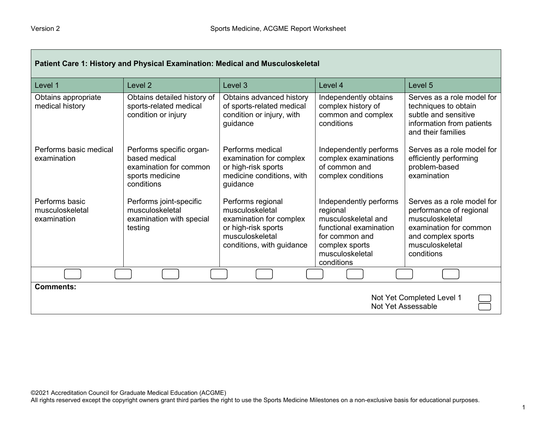| Patient Care 1: History and Physical Examination: Medical and Musculoskeletal |                                                                                                      |                                                                                                                                        |                                                                                                                                                          |                                                                                                                                                           |
|-------------------------------------------------------------------------------|------------------------------------------------------------------------------------------------------|----------------------------------------------------------------------------------------------------------------------------------------|----------------------------------------------------------------------------------------------------------------------------------------------------------|-----------------------------------------------------------------------------------------------------------------------------------------------------------|
| Level 1                                                                       | Level <sub>2</sub>                                                                                   | Level 3                                                                                                                                | Level 4                                                                                                                                                  | Level 5                                                                                                                                                   |
| Obtains appropriate<br>medical history                                        | Obtains detailed history of<br>sports-related medical<br>condition or injury                         | Obtains advanced history<br>of sports-related medical<br>condition or injury, with<br>guidance                                         | Independently obtains<br>complex history of<br>common and complex<br>conditions                                                                          | Serves as a role model for<br>techniques to obtain<br>subtle and sensitive<br>information from patients<br>and their families                             |
| Performs basic medical<br>examination                                         | Performs specific organ-<br>based medical<br>examination for common<br>sports medicine<br>conditions | Performs medical<br>examination for complex<br>or high-risk sports<br>medicine conditions, with<br>guidance                            | Independently performs<br>complex examinations<br>of common and<br>complex conditions                                                                    | Serves as a role model for<br>efficiently performing<br>problem-based<br>examination                                                                      |
| Performs basic<br>musculoskeletal<br>examination                              | Performs joint-specific<br>musculoskeletal<br>examination with special<br>testing                    | Performs regional<br>musculoskeletal<br>examination for complex<br>or high-risk sports<br>musculoskeletal<br>conditions, with guidance | Independently performs<br>regional<br>musculoskeletal and<br>functional examination<br>for common and<br>complex sports<br>musculoskeletal<br>conditions | Serves as a role model for<br>performance of regional<br>musculoskeletal<br>examination for common<br>and complex sports<br>musculoskeletal<br>conditions |
|                                                                               |                                                                                                      |                                                                                                                                        |                                                                                                                                                          |                                                                                                                                                           |
| <b>Comments:</b><br>Not Yet Completed Level 1<br>Not Yet Assessable           |                                                                                                      |                                                                                                                                        |                                                                                                                                                          |                                                                                                                                                           |

All rights reserved except the copyright owners grant third parties the right to use the Sports Medicine Milestones on a non-exclusive basis for educational purposes.

┓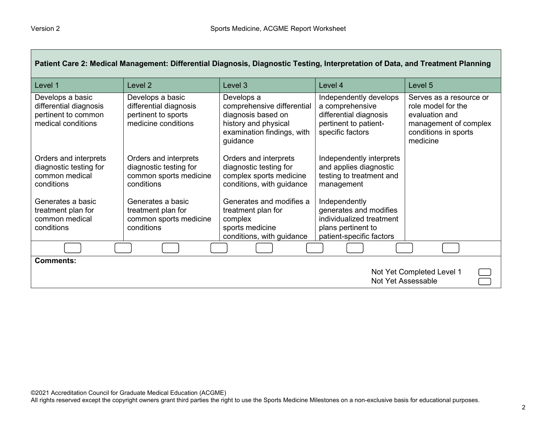| Patient Care 2: Medical Management: Differential Diagnosis, Diagnostic Testing, Interpretation of Data, and Treatment Planning |                                                                                          |                                                                                                                                  |                                                                                                                       |                                                                                                                              |
|--------------------------------------------------------------------------------------------------------------------------------|------------------------------------------------------------------------------------------|----------------------------------------------------------------------------------------------------------------------------------|-----------------------------------------------------------------------------------------------------------------------|------------------------------------------------------------------------------------------------------------------------------|
| Level 1                                                                                                                        | Level <sub>2</sub>                                                                       | Level 3                                                                                                                          | Level 4                                                                                                               | Level 5                                                                                                                      |
| Develops a basic<br>differential diagnosis<br>pertinent to common<br>medical conditions                                        | Develops a basic<br>differential diagnosis<br>pertinent to sports<br>medicine conditions | Develops a<br>comprehensive differential<br>diagnosis based on<br>history and physical<br>examination findings, with<br>guidance | Independently develops<br>a comprehensive<br>differential diagnosis<br>pertinent to patient-<br>specific factors      | Serves as a resource or<br>role model for the<br>evaluation and<br>management of complex<br>conditions in sports<br>medicine |
| Orders and interprets<br>diagnostic testing for<br>common medical<br>conditions                                                | Orders and interprets<br>diagnostic testing for<br>common sports medicine<br>conditions  | Orders and interprets<br>diagnostic testing for<br>complex sports medicine<br>conditions, with guidance                          | Independently interprets<br>and applies diagnostic<br>testing to treatment and<br>management                          |                                                                                                                              |
| Generates a basic<br>treatment plan for<br>common medical<br>conditions                                                        | Generates a basic<br>treatment plan for<br>common sports medicine<br>conditions          | Generates and modifies a<br>treatment plan for<br>complex<br>sports medicine<br>conditions, with guidance                        | Independently<br>generates and modifies<br>individualized treatment<br>plans pertinent to<br>patient-specific factors |                                                                                                                              |
|                                                                                                                                |                                                                                          |                                                                                                                                  |                                                                                                                       |                                                                                                                              |
| <b>Comments:</b><br>Not Yet Completed Level 1<br>Not Yet Assessable                                                            |                                                                                          |                                                                                                                                  |                                                                                                                       |                                                                                                                              |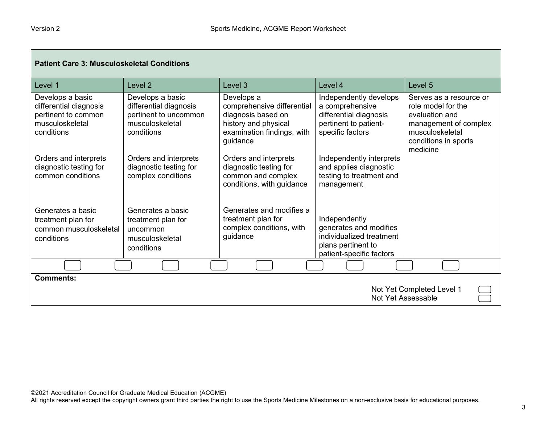| <b>Patient Care 3: Musculoskeletal Conditions</b>                                                  |                                                                                                      |                                                                                                                                  |                                                                                                                       |                                                                                                                                                 |
|----------------------------------------------------------------------------------------------------|------------------------------------------------------------------------------------------------------|----------------------------------------------------------------------------------------------------------------------------------|-----------------------------------------------------------------------------------------------------------------------|-------------------------------------------------------------------------------------------------------------------------------------------------|
| Level 1                                                                                            | Level <sub>2</sub>                                                                                   | Level <sub>3</sub>                                                                                                               | Level 4                                                                                                               | Level <sub>5</sub>                                                                                                                              |
| Develops a basic<br>differential diagnosis<br>pertinent to common<br>musculoskeletal<br>conditions | Develops a basic<br>differential diagnosis<br>pertinent to uncommon<br>musculoskeletal<br>conditions | Develops a<br>comprehensive differential<br>diagnosis based on<br>history and physical<br>examination findings, with<br>guidance | Independently develops<br>a comprehensive<br>differential diagnosis<br>pertinent to patient-<br>specific factors      | Serves as a resource or<br>role model for the<br>evaluation and<br>management of complex<br>musculoskeletal<br>conditions in sports<br>medicine |
| Orders and interprets<br>diagnostic testing for<br>common conditions                               | Orders and interprets<br>diagnostic testing for<br>complex conditions                                | Orders and interprets<br>diagnostic testing for<br>common and complex<br>conditions, with guidance                               | Independently interprets<br>and applies diagnostic<br>testing to treatment and<br>management                          |                                                                                                                                                 |
| Generates a basic<br>treatment plan for<br>common musculoskeletal<br>conditions                    | Generates a basic<br>treatment plan for<br>uncommon<br>musculoskeletal<br>conditions                 | Generates and modifies a<br>treatment plan for<br>complex conditions, with<br>guidance                                           | Independently<br>generates and modifies<br>individualized treatment<br>plans pertinent to<br>patient-specific factors |                                                                                                                                                 |
|                                                                                                    |                                                                                                      |                                                                                                                                  |                                                                                                                       |                                                                                                                                                 |
| <b>Comments:</b><br>Not Yet Completed Level 1<br>Not Yet Assessable                                |                                                                                                      |                                                                                                                                  |                                                                                                                       |                                                                                                                                                 |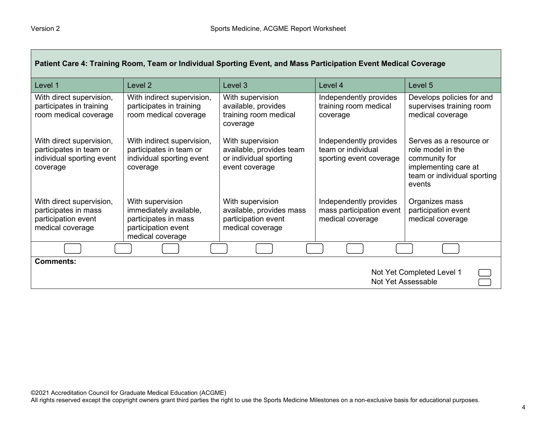| Patient Care 4: Training Room, Team or Individual Sporting Event, and Mass Participation Event Medical Coverage |                                                                                                |                                                                                          |                                                                         |                                                                                                                                |
|-----------------------------------------------------------------------------------------------------------------|------------------------------------------------------------------------------------------------|------------------------------------------------------------------------------------------|-------------------------------------------------------------------------|--------------------------------------------------------------------------------------------------------------------------------|
| Level 1                                                                                                         | Level 2                                                                                        | Level 3                                                                                  | Level 4                                                                 | Level 5                                                                                                                        |
| With direct supervision,<br>participates in training<br>room medical coverage                                   | With indirect supervision,<br>participates in training<br>room medical coverage                | With supervision<br>available, provides<br>training room medical<br>coverage             | Independently provides<br>training room medical<br>coverage             | Develops policies for and<br>supervises training room<br>medical coverage                                                      |
| With direct supervision,<br>participates in team or<br>individual sporting event<br>coverage                    | With indirect supervision,<br>participates in team or<br>individual sporting event<br>coverage | With supervision<br>available, provides team<br>or individual sporting<br>event coverage | Independently provides<br>team or individual<br>sporting event coverage | Serves as a resource or<br>role model in the<br>community for<br>implementing care at<br>team or individual sporting<br>events |
| With direct supervision,<br>participates in mass                                                                | With supervision<br>immediately available,                                                     | With supervision<br>available, provides mass                                             | Independently provides<br>mass participation event                      | Organizes mass<br>participation event                                                                                          |
| participation event                                                                                             | participates in mass                                                                           | participation event                                                                      | medical coverage                                                        | medical coverage                                                                                                               |
| medical coverage                                                                                                | participation event<br>medical coverage                                                        | medical coverage                                                                         |                                                                         |                                                                                                                                |
|                                                                                                                 |                                                                                                |                                                                                          |                                                                         |                                                                                                                                |
| <b>Comments:</b>                                                                                                |                                                                                                |                                                                                          |                                                                         |                                                                                                                                |
| Not Yet Completed Level 1<br>Not Yet Assessable                                                                 |                                                                                                |                                                                                          |                                                                         |                                                                                                                                |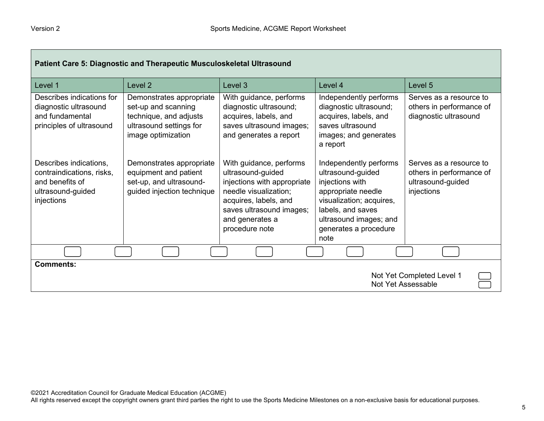| Patient Care 5: Diagnostic and Therapeutic Musculoskeletal Ultrasound                                     |                                                                                                                            |                                                                                                                                                                                                |                                                                                                                                                                                                  |                                                                                        |
|-----------------------------------------------------------------------------------------------------------|----------------------------------------------------------------------------------------------------------------------------|------------------------------------------------------------------------------------------------------------------------------------------------------------------------------------------------|--------------------------------------------------------------------------------------------------------------------------------------------------------------------------------------------------|----------------------------------------------------------------------------------------|
| Level 1                                                                                                   | Level 2                                                                                                                    | Level 3                                                                                                                                                                                        | Level 4                                                                                                                                                                                          | Level 5                                                                                |
| Describes indications for<br>diagnostic ultrasound<br>and fundamental<br>principles of ultrasound         | Demonstrates appropriate<br>set-up and scanning<br>technique, and adjusts<br>ultrasound settings for<br>image optimization | With guidance, performs<br>diagnostic ultrasound;<br>acquires, labels, and<br>saves ultrasound images;<br>and generates a report                                                               | Independently performs<br>diagnostic ultrasound;<br>acquires, labels, and<br>saves ultrasound<br>images; and generates<br>a report                                                               | Serves as a resource to<br>others in performance of<br>diagnostic ultrasound           |
| Describes indications,<br>contraindications, risks,<br>and benefits of<br>ultrasound-guided<br>injections | Demonstrates appropriate<br>equipment and patient<br>set-up, and ultrasound-<br>guided injection technique                 | With guidance, performs<br>ultrasound-guided<br>injections with appropriate<br>needle visualization;<br>acquires, labels, and<br>saves ultrasound images;<br>and generates a<br>procedure note | Independently performs<br>ultrasound-guided<br>injections with<br>appropriate needle<br>visualization; acquires,<br>labels, and saves<br>ultrasound images; and<br>generates a procedure<br>note | Serves as a resource to<br>others in performance of<br>ultrasound-guided<br>injections |
|                                                                                                           |                                                                                                                            |                                                                                                                                                                                                |                                                                                                                                                                                                  |                                                                                        |
| <b>Comments:</b><br>Not Yet Completed Level 1<br>Not Yet Assessable                                       |                                                                                                                            |                                                                                                                                                                                                |                                                                                                                                                                                                  |                                                                                        |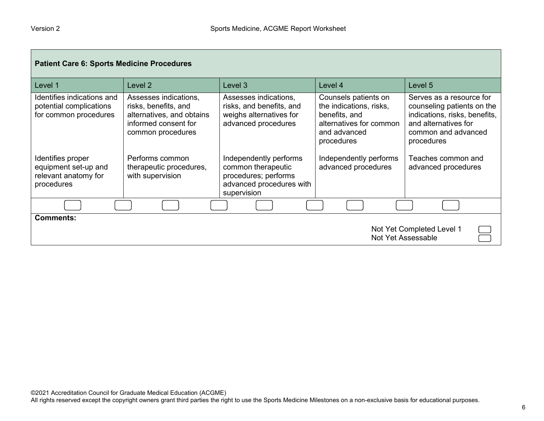| <b>Patient Care 6: Sports Medicine Procedures</b>                               |                                                                                                                         |                                                                                                                 |                                                                                                                           |                                                                                                                                                      |
|---------------------------------------------------------------------------------|-------------------------------------------------------------------------------------------------------------------------|-----------------------------------------------------------------------------------------------------------------|---------------------------------------------------------------------------------------------------------------------------|------------------------------------------------------------------------------------------------------------------------------------------------------|
| Level 1                                                                         | Level <sub>2</sub>                                                                                                      | Level 3                                                                                                         | Level 4                                                                                                                   | Level 5                                                                                                                                              |
| Identifies indications and<br>potential complications<br>for common procedures  | Assesses indications,<br>risks, benefits, and<br>alternatives, and obtains<br>informed consent for<br>common procedures | Assesses indications,<br>risks, and benefits, and<br>weighs alternatives for<br>advanced procedures             | Counsels patients on<br>the indications, risks,<br>benefits, and<br>alternatives for common<br>and advanced<br>procedures | Serves as a resource for<br>counseling patients on the<br>indications, risks, benefits,<br>and alternatives for<br>common and advanced<br>procedures |
| Identifies proper<br>equipment set-up and<br>relevant anatomy for<br>procedures | Performs common<br>therapeutic procedures,<br>with supervision                                                          | Independently performs<br>common therapeutic<br>procedures; performs<br>advanced procedures with<br>supervision | Independently performs<br>advanced procedures                                                                             | Teaches common and<br>advanced procedures                                                                                                            |
|                                                                                 |                                                                                                                         |                                                                                                                 |                                                                                                                           |                                                                                                                                                      |
| <b>Comments:</b><br>Not Yet Completed Level 1<br>Not Yet Assessable             |                                                                                                                         |                                                                                                                 |                                                                                                                           |                                                                                                                                                      |

ш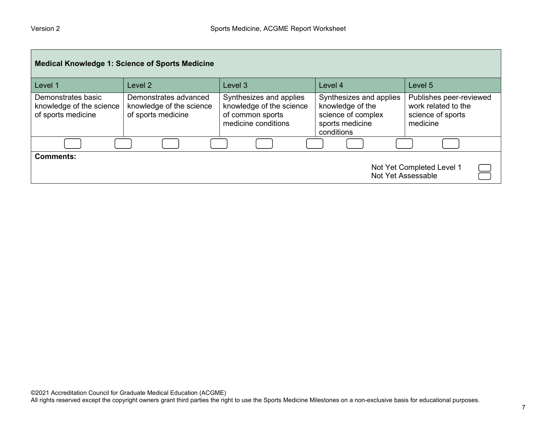| <b>Medical Knowledge 1: Science of Sports Medicine</b>               |                                                                         |                                                                                                |                                                                                                    |                                                                                 |  |
|----------------------------------------------------------------------|-------------------------------------------------------------------------|------------------------------------------------------------------------------------------------|----------------------------------------------------------------------------------------------------|---------------------------------------------------------------------------------|--|
| Level 1                                                              | Level <sub>2</sub>                                                      | Level 3                                                                                        | Level 4                                                                                            | Level 5                                                                         |  |
| Demonstrates basic<br>knowledge of the science<br>of sports medicine | Demonstrates advanced<br>knowledge of the science<br>of sports medicine | Synthesizes and applies<br>knowledge of the science<br>of common sports<br>medicine conditions | Synthesizes and applies<br>knowledge of the<br>science of complex<br>sports medicine<br>conditions | Publishes peer-reviewed<br>work related to the<br>science of sports<br>medicine |  |
|                                                                      |                                                                         |                                                                                                |                                                                                                    |                                                                                 |  |
| <b>Comments:</b><br>Not Yet Completed Level 1<br>Not Yet Assessable  |                                                                         |                                                                                                |                                                                                                    |                                                                                 |  |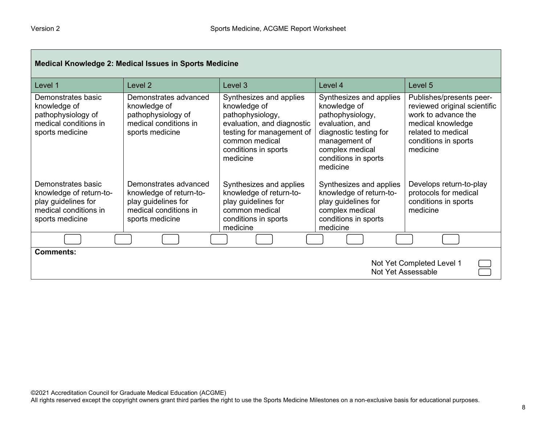| <b>Medical Knowledge 2: Medical Issues in Sports Medicine</b>                                                    |                                                                                                                     |                                                                                                                                                                              |                                                                                                                                                                                  |                                                                                                                                                                |
|------------------------------------------------------------------------------------------------------------------|---------------------------------------------------------------------------------------------------------------------|------------------------------------------------------------------------------------------------------------------------------------------------------------------------------|----------------------------------------------------------------------------------------------------------------------------------------------------------------------------------|----------------------------------------------------------------------------------------------------------------------------------------------------------------|
| Level 1                                                                                                          | Level 2                                                                                                             | Level 3                                                                                                                                                                      | Level 4                                                                                                                                                                          | Level 5                                                                                                                                                        |
| Demonstrates basic<br>knowledge of<br>pathophysiology of<br>medical conditions in<br>sports medicine             | Demonstrates advanced<br>knowledge of<br>pathophysiology of<br>medical conditions in<br>sports medicine             | Synthesizes and applies<br>knowledge of<br>pathophysiology,<br>evaluation, and diagnostic<br>testing for management of<br>common medical<br>conditions in sports<br>medicine | Synthesizes and applies<br>knowledge of<br>pathophysiology,<br>evaluation, and<br>diagnostic testing for<br>management of<br>complex medical<br>conditions in sports<br>medicine | Publishes/presents peer-<br>reviewed original scientific<br>work to advance the<br>medical knowledge<br>related to medical<br>conditions in sports<br>medicine |
| Demonstrates basic<br>knowledge of return-to-<br>play guidelines for<br>medical conditions in<br>sports medicine | Demonstrates advanced<br>knowledge of return-to-<br>play guidelines for<br>medical conditions in<br>sports medicine | Synthesizes and applies<br>knowledge of return-to-<br>play guidelines for<br>common medical<br>conditions in sports<br>medicine                                              | Synthesizes and applies<br>knowledge of return-to-<br>play guidelines for<br>complex medical<br>conditions in sports<br>medicine                                                 | Develops return-to-play<br>protocols for medical<br>conditions in sports<br>medicine                                                                           |
|                                                                                                                  |                                                                                                                     |                                                                                                                                                                              |                                                                                                                                                                                  |                                                                                                                                                                |
| <b>Comments:</b><br>Not Yet Completed Level 1<br><b>Not Yet Assessable</b>                                       |                                                                                                                     |                                                                                                                                                                              |                                                                                                                                                                                  |                                                                                                                                                                |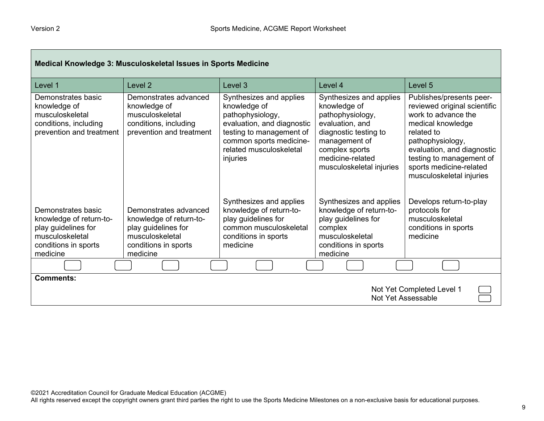| Medical Knowledge 3: Musculoskeletal Issues in Sports Medicine                                                              |                                                                                                                                |                                                                                                                                                                                         |                                                                                                                                                                                            |                                                                                                                                                                                                                                                         |
|-----------------------------------------------------------------------------------------------------------------------------|--------------------------------------------------------------------------------------------------------------------------------|-----------------------------------------------------------------------------------------------------------------------------------------------------------------------------------------|--------------------------------------------------------------------------------------------------------------------------------------------------------------------------------------------|---------------------------------------------------------------------------------------------------------------------------------------------------------------------------------------------------------------------------------------------------------|
| Level 1                                                                                                                     | Level <sub>2</sub>                                                                                                             | Level 3                                                                                                                                                                                 | Level 4                                                                                                                                                                                    | Level 5                                                                                                                                                                                                                                                 |
| Demonstrates basic<br>knowledge of<br>musculoskeletal<br>conditions, including<br>prevention and treatment                  | Demonstrates advanced<br>knowledge of<br>musculoskeletal<br>conditions, including<br>prevention and treatment                  | Synthesizes and applies<br>knowledge of<br>pathophysiology,<br>evaluation, and diagnostic<br>testing to management of<br>common sports medicine-<br>related musculoskeletal<br>injuries | Synthesizes and applies<br>knowledge of<br>pathophysiology,<br>evaluation, and<br>diagnostic testing to<br>management of<br>complex sports<br>medicine-related<br>musculoskeletal injuries | Publishes/presents peer-<br>reviewed original scientific<br>work to advance the<br>medical knowledge<br>related to<br>pathophysiology,<br>evaluation, and diagnostic<br>testing to management of<br>sports medicine-related<br>musculoskeletal injuries |
| Demonstrates basic<br>knowledge of return-to-<br>play guidelines for<br>musculoskeletal<br>conditions in sports<br>medicine | Demonstrates advanced<br>knowledge of return-to-<br>play guidelines for<br>musculoskeletal<br>conditions in sports<br>medicine | Synthesizes and applies<br>knowledge of return-to-<br>play guidelines for<br>common musculoskeletal<br>conditions in sports<br>medicine                                                 | Synthesizes and applies<br>knowledge of return-to-<br>play guidelines for<br>complex<br>musculoskeletal<br>conditions in sports<br>medicine                                                | Develops return-to-play<br>protocols for<br>musculoskeletal<br>conditions in sports<br>medicine                                                                                                                                                         |
|                                                                                                                             |                                                                                                                                |                                                                                                                                                                                         |                                                                                                                                                                                            |                                                                                                                                                                                                                                                         |
| <b>Comments:</b>                                                                                                            |                                                                                                                                |                                                                                                                                                                                         |                                                                                                                                                                                            | Not Yet Completed Level 1<br>Not Yet Assessable                                                                                                                                                                                                         |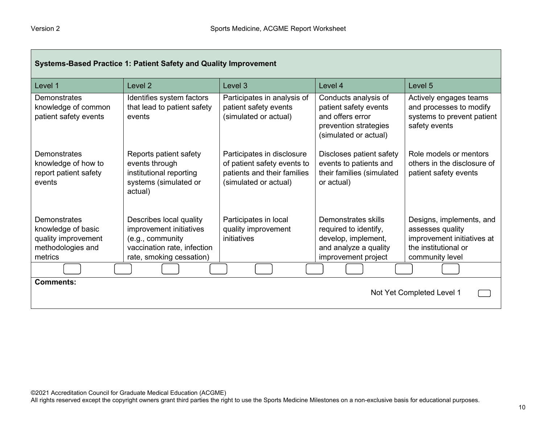| Systems-Based Practice 1: Patient Safety and Quality Improvement                          |                                                                                                                                   |                                                                                                                   |                                                                                                                     |                                                                                                                       |
|-------------------------------------------------------------------------------------------|-----------------------------------------------------------------------------------------------------------------------------------|-------------------------------------------------------------------------------------------------------------------|---------------------------------------------------------------------------------------------------------------------|-----------------------------------------------------------------------------------------------------------------------|
| Level 1                                                                                   | Level <sub>2</sub>                                                                                                                | Level <sub>3</sub>                                                                                                | Level 4                                                                                                             | Level 5                                                                                                               |
| <b>Demonstrates</b><br>knowledge of common<br>patient safety events                       | Identifies system factors<br>that lead to patient safety<br>events                                                                | Participates in analysis of<br>patient safety events<br>(simulated or actual)                                     | Conducts analysis of<br>patient safety events<br>and offers error<br>prevention strategies<br>(simulated or actual) | Actively engages teams<br>and processes to modify<br>systems to prevent patient<br>safety events                      |
| Demonstrates<br>knowledge of how to<br>report patient safety<br>events                    | Reports patient safety<br>events through<br>institutional reporting<br>systems (simulated or<br>actual)                           | Participates in disclosure<br>of patient safety events to<br>patients and their families<br>(simulated or actual) | Discloses patient safety<br>events to patients and<br>their families (simulated<br>or actual)                       | Role models or mentors<br>others in the disclosure of<br>patient safety events                                        |
| Demonstrates<br>knowledge of basic<br>quality improvement<br>methodologies and<br>metrics | Describes local quality<br>improvement initiatives<br>(e.g., community<br>vaccination rate, infection<br>rate, smoking cessation) | Participates in local<br>quality improvement<br>initiatives                                                       | Demonstrates skills<br>required to identify,<br>develop, implement,<br>and analyze a quality<br>improvement project | Designs, implements, and<br>assesses quality<br>improvement initiatives at<br>the institutional or<br>community level |
|                                                                                           |                                                                                                                                   |                                                                                                                   |                                                                                                                     |                                                                                                                       |
| <b>Comments:</b>                                                                          |                                                                                                                                   |                                                                                                                   |                                                                                                                     | Not Yet Completed Level 1                                                                                             |

All rights reserved except the copyright owners grant third parties the right to use the Sports Medicine Milestones on a non-exclusive basis for educational purposes.

m,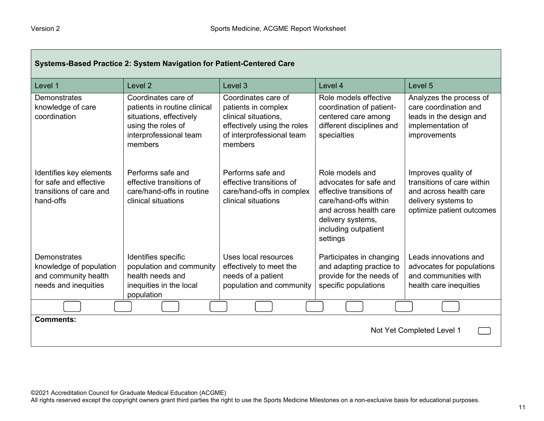| Systems-Based Practice 2: System Navigation for Patient-Centered Care                     |                                                                                                                                           |                                                                                                                                           |                                                                                                                                                                                   |                                                                                                                                 |
|-------------------------------------------------------------------------------------------|-------------------------------------------------------------------------------------------------------------------------------------------|-------------------------------------------------------------------------------------------------------------------------------------------|-----------------------------------------------------------------------------------------------------------------------------------------------------------------------------------|---------------------------------------------------------------------------------------------------------------------------------|
| Level 1                                                                                   | Level 2                                                                                                                                   | Level 3                                                                                                                                   | Level 4                                                                                                                                                                           | Level 5                                                                                                                         |
| Demonstrates<br>knowledge of care<br>coordination                                         | Coordinates care of<br>patients in routine clinical<br>situations, effectively<br>using the roles of<br>interprofessional team<br>members | Coordinates care of<br>patients in complex<br>clinical situations.<br>effectively using the roles<br>of interprofessional team<br>members | Role models effective<br>coordination of patient-<br>centered care among<br>different disciplines and<br>specialties                                                              | Analyzes the process of<br>care coordination and<br>leads in the design and<br>implementation of<br>improvements                |
| Identifies key elements<br>for safe and effective<br>transitions of care and<br>hand-offs | Performs safe and<br>effective transitions of<br>care/hand-offs in routine<br>clinical situations                                         | Performs safe and<br>effective transitions of<br>care/hand-offs in complex<br>clinical situations                                         | Role models and<br>advocates for safe and<br>effective transitions of<br>care/hand-offs within<br>and across health care<br>delivery systems,<br>including outpatient<br>settings | Improves quality of<br>transitions of care within<br>and across health care<br>delivery systems to<br>optimize patient outcomes |
| Demonstrates<br>knowledge of population<br>and community health<br>needs and inequities   | Identifies specific<br>population and community<br>health needs and<br>inequities in the local<br>population                              | Uses local resources<br>effectively to meet the<br>needs of a patient<br>population and community                                         | Participates in changing<br>and adapting practice to<br>provide for the needs of<br>specific populations                                                                          | Leads innovations and<br>advocates for populations<br>and communities with<br>health care inequities                            |
|                                                                                           |                                                                                                                                           |                                                                                                                                           |                                                                                                                                                                                   |                                                                                                                                 |
| <b>Comments:</b><br>Not Yet Completed Level 1                                             |                                                                                                                                           |                                                                                                                                           |                                                                                                                                                                                   |                                                                                                                                 |

All rights reserved except the copyright owners grant third parties the right to use the Sports Medicine Milestones on a non-exclusive basis for educational purposes.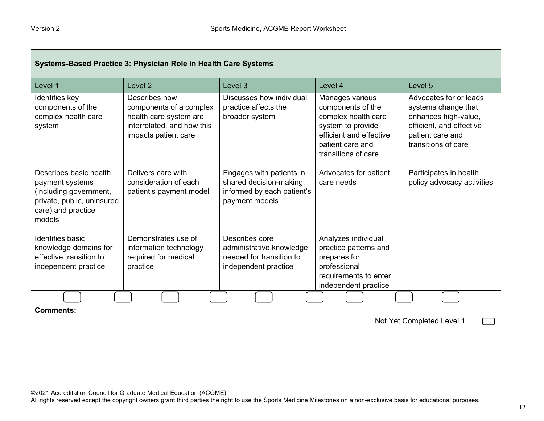| Systems-Based Practice 3: Physician Role in Health Care Systems                                                                   |                                                                                                                          |                                                                                                     |                                                                                                                                                        |                                                                                                                                              |  |
|-----------------------------------------------------------------------------------------------------------------------------------|--------------------------------------------------------------------------------------------------------------------------|-----------------------------------------------------------------------------------------------------|--------------------------------------------------------------------------------------------------------------------------------------------------------|----------------------------------------------------------------------------------------------------------------------------------------------|--|
| Level 1                                                                                                                           | Level <sub>2</sub>                                                                                                       | Level 3                                                                                             | Level 4                                                                                                                                                | Level 5                                                                                                                                      |  |
| Identifies key<br>components of the<br>complex health care<br>system                                                              | Describes how<br>components of a complex<br>health care system are<br>interrelated, and how this<br>impacts patient care | Discusses how individual<br>practice affects the<br>broader system                                  | Manages various<br>components of the<br>complex health care<br>system to provide<br>efficient and effective<br>patient care and<br>transitions of care | Advocates for or leads<br>systems change that<br>enhances high-value,<br>efficient, and effective<br>patient care and<br>transitions of care |  |
| Describes basic health<br>payment systems<br>(including government,<br>private, public, uninsured<br>care) and practice<br>models | Delivers care with<br>consideration of each<br>patient's payment model                                                   | Engages with patients in<br>shared decision-making,<br>informed by each patient's<br>payment models | Advocates for patient<br>care needs                                                                                                                    | Participates in health<br>policy advocacy activities                                                                                         |  |
| <b>Identifies basic</b><br>knowledge domains for<br>effective transition to<br>independent practice                               | Demonstrates use of<br>information technology<br>required for medical<br>practice                                        | Describes core<br>administrative knowledge<br>needed for transition to<br>independent practice      | Analyzes individual<br>practice patterns and<br>prepares for<br>professional<br>requirements to enter<br>independent practice                          |                                                                                                                                              |  |
|                                                                                                                                   |                                                                                                                          |                                                                                                     |                                                                                                                                                        |                                                                                                                                              |  |
| <b>Comments:</b><br>Not Yet Completed Level 1                                                                                     |                                                                                                                          |                                                                                                     |                                                                                                                                                        |                                                                                                                                              |  |

All rights reserved except the copyright owners grant third parties the right to use the Sports Medicine Milestones on a non-exclusive basis for educational purposes.

٦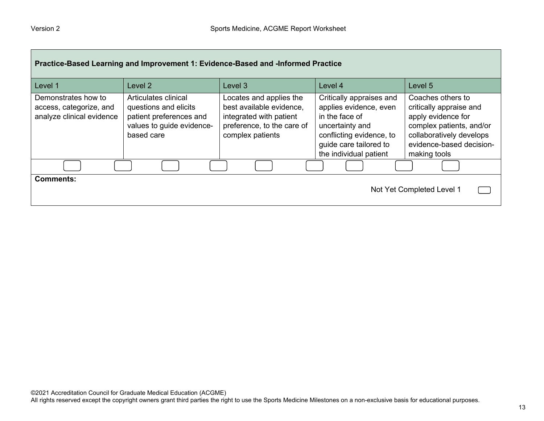| Practice-Based Learning and Improvement 1: Evidence-Based and -Informed Practice |                                                                                                                     |                                                                                                                                  |                                                                                                                                                                         |                                                                                                                                                                        |
|----------------------------------------------------------------------------------|---------------------------------------------------------------------------------------------------------------------|----------------------------------------------------------------------------------------------------------------------------------|-------------------------------------------------------------------------------------------------------------------------------------------------------------------------|------------------------------------------------------------------------------------------------------------------------------------------------------------------------|
| Level 1                                                                          | Level <sub>2</sub>                                                                                                  | Level 3                                                                                                                          | Level 4                                                                                                                                                                 | Level 5                                                                                                                                                                |
| Demonstrates how to<br>access, categorize, and<br>analyze clinical evidence      | Articulates clinical<br>questions and elicits<br>patient preferences and<br>values to guide evidence-<br>based care | Locates and applies the<br>best available evidence,<br>integrated with patient<br>preference, to the care of<br>complex patients | Critically appraises and<br>applies evidence, even<br>in the face of<br>uncertainty and<br>conflicting evidence, to<br>guide care tailored to<br>the individual patient | Coaches others to<br>critically appraise and<br>apply evidence for<br>complex patients, and/or<br>collaboratively develops<br>evidence-based decision-<br>making tools |
|                                                                                  |                                                                                                                     |                                                                                                                                  |                                                                                                                                                                         |                                                                                                                                                                        |
| <b>Comments:</b><br>Not Yet Completed Level 1                                    |                                                                                                                     |                                                                                                                                  |                                                                                                                                                                         |                                                                                                                                                                        |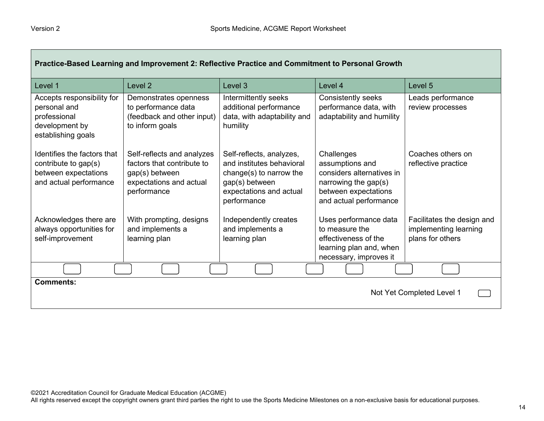| Practice-Based Learning and Improvement 2: Reflective Practice and Commitment to Personal Growth      |                                                                                                                      |                                                                                                                                              |                                                                                                                                      |                                                                         |
|-------------------------------------------------------------------------------------------------------|----------------------------------------------------------------------------------------------------------------------|----------------------------------------------------------------------------------------------------------------------------------------------|--------------------------------------------------------------------------------------------------------------------------------------|-------------------------------------------------------------------------|
| Level 1                                                                                               | Level <sub>2</sub>                                                                                                   | Level <sub>3</sub>                                                                                                                           | Level 4                                                                                                                              | Level <sub>5</sub>                                                      |
| Accepts responsibility for<br>personal and<br>professional<br>development by<br>establishing goals    | Demonstrates openness<br>to performance data<br>(feedback and other input)<br>to inform goals                        | Intermittently seeks<br>additional performance<br>data, with adaptability and<br>humility                                                    | Consistently seeks<br>performance data, with<br>adaptability and humility                                                            | Leads performance<br>review processes                                   |
| Identifies the factors that<br>contribute to gap(s)<br>between expectations<br>and actual performance | Self-reflects and analyzes<br>factors that contribute to<br>gap(s) between<br>expectations and actual<br>performance | Self-reflects, analyzes,<br>and institutes behavioral<br>change(s) to narrow the<br>gap(s) between<br>expectations and actual<br>performance | Challenges<br>assumptions and<br>considers alternatives in<br>narrowing the gap(s)<br>between expectations<br>and actual performance | Coaches others on<br>reflective practice                                |
| Acknowledges there are<br>always opportunities for<br>self-improvement                                | With prompting, designs<br>and implements a<br>learning plan                                                         | Independently creates<br>and implements a<br>learning plan                                                                                   | Uses performance data<br>to measure the<br>effectiveness of the<br>learning plan and, when<br>necessary, improves it                 | Facilitates the design and<br>implementing learning<br>plans for others |
|                                                                                                       |                                                                                                                      |                                                                                                                                              |                                                                                                                                      |                                                                         |
| <b>Comments:</b><br>Not Yet Completed Level 1                                                         |                                                                                                                      |                                                                                                                                              |                                                                                                                                      |                                                                         |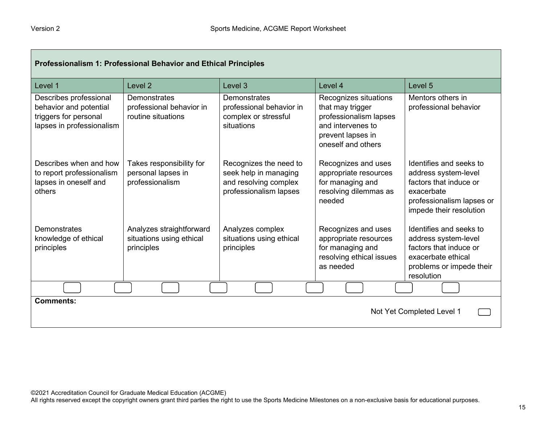Г

| Professionalism 1: Professional Behavior and Ethical Principles                                        |                                                                    |                                                                                                    |                                                                                                                                     |                                                                                                                                                 |
|--------------------------------------------------------------------------------------------------------|--------------------------------------------------------------------|----------------------------------------------------------------------------------------------------|-------------------------------------------------------------------------------------------------------------------------------------|-------------------------------------------------------------------------------------------------------------------------------------------------|
| Level 1                                                                                                | Level <sub>2</sub>                                                 | Level <sub>3</sub>                                                                                 | Level 4                                                                                                                             | Level 5                                                                                                                                         |
| Describes professional<br>behavior and potential<br>triggers for personal<br>lapses in professionalism | Demonstrates<br>professional behavior in<br>routine situations     | Demonstrates<br>professional behavior in<br>complex or stressful<br>situations                     | Recognizes situations<br>that may trigger<br>professionalism lapses<br>and intervenes to<br>prevent lapses in<br>oneself and others | Mentors others in<br>professional behavior                                                                                                      |
| Describes when and how<br>to report professionalism<br>lapses in oneself and<br>others                 | Takes responsibility for<br>personal lapses in<br>professionalism  | Recognizes the need to<br>seek help in managing<br>and resolving complex<br>professionalism lapses | Recognizes and uses<br>appropriate resources<br>for managing and<br>resolving dilemmas as<br>needed                                 | Identifies and seeks to<br>address system-level<br>factors that induce or<br>exacerbate<br>professionalism lapses or<br>impede their resolution |
| Demonstrates<br>knowledge of ethical<br>principles                                                     | Analyzes straightforward<br>situations using ethical<br>principles | Analyzes complex<br>situations using ethical<br>principles                                         | Recognizes and uses<br>appropriate resources<br>for managing and<br>resolving ethical issues<br>as needed                           | Identifies and seeks to<br>address system-level<br>factors that induce or<br>exacerbate ethical<br>problems or impede their<br>resolution       |
|                                                                                                        |                                                                    |                                                                                                    |                                                                                                                                     |                                                                                                                                                 |
| <b>Comments:</b>                                                                                       |                                                                    |                                                                                                    |                                                                                                                                     | Not Yet Completed Level 1                                                                                                                       |

 $\overline{\phantom{0}}$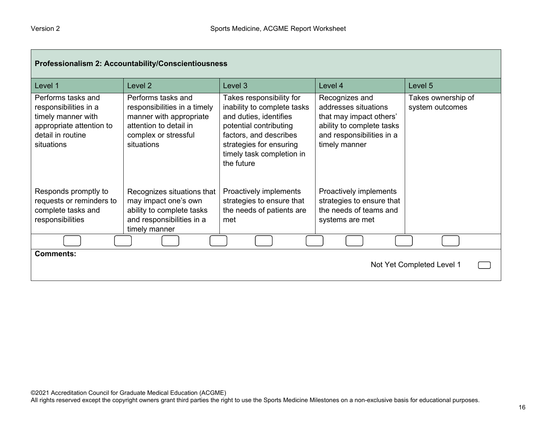| Professionalism 2: Accountability/Conscientiousness                                                                              |                                                                                                                                               |                                                                                                                                                                                                             |                                                                                                                                              |                                       |
|----------------------------------------------------------------------------------------------------------------------------------|-----------------------------------------------------------------------------------------------------------------------------------------------|-------------------------------------------------------------------------------------------------------------------------------------------------------------------------------------------------------------|----------------------------------------------------------------------------------------------------------------------------------------------|---------------------------------------|
| Level 1                                                                                                                          | Level 2                                                                                                                                       | Level 3                                                                                                                                                                                                     | Level 4                                                                                                                                      | Level 5                               |
| Performs tasks and<br>responsibilities in a<br>timely manner with<br>appropriate attention to<br>detail in routine<br>situations | Performs tasks and<br>responsibilities in a timely<br>manner with appropriate<br>attention to detail in<br>complex or stressful<br>situations | Takes responsibility for<br>inability to complete tasks<br>and duties, identifies<br>potential contributing<br>factors, and describes<br>strategies for ensuring<br>timely task completion in<br>the future | Recognizes and<br>addresses situations<br>that may impact others'<br>ability to complete tasks<br>and responsibilities in a<br>timely manner | Takes ownership of<br>system outcomes |
| Responds promptly to<br>requests or reminders to<br>complete tasks and<br>responsibilities                                       | Recognizes situations that<br>may impact one's own<br>ability to complete tasks<br>and responsibilities in a<br>timely manner                 | Proactively implements<br>strategies to ensure that<br>the needs of patients are<br>met                                                                                                                     | Proactively implements<br>strategies to ensure that<br>the needs of teams and<br>systems are met                                             |                                       |
|                                                                                                                                  |                                                                                                                                               |                                                                                                                                                                                                             |                                                                                                                                              |                                       |
| <b>Comments:</b><br>Not Yet Completed Level 1                                                                                    |                                                                                                                                               |                                                                                                                                                                                                             |                                                                                                                                              |                                       |

┑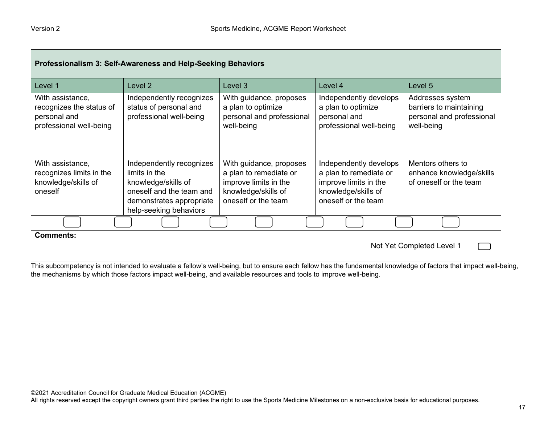| Professionalism 3: Self-Awareness and Help-Seeking Behaviors                            |                                                                                                                                                    |                                                                                                                          |                                                                                                                         |                                                                                        |
|-----------------------------------------------------------------------------------------|----------------------------------------------------------------------------------------------------------------------------------------------------|--------------------------------------------------------------------------------------------------------------------------|-------------------------------------------------------------------------------------------------------------------------|----------------------------------------------------------------------------------------|
| Level 1                                                                                 | Level <sub>2</sub>                                                                                                                                 | Level 3                                                                                                                  | Level 4                                                                                                                 | Level 5                                                                                |
| With assistance,<br>recognizes the status of<br>personal and<br>professional well-being | Independently recognizes<br>status of personal and<br>professional well-being                                                                      | With guidance, proposes<br>a plan to optimize<br>personal and professional<br>well-being                                 | Independently develops<br>a plan to optimize<br>personal and<br>professional well-being                                 | Addresses system<br>barriers to maintaining<br>personal and professional<br>well-being |
| With assistance,<br>recognizes limits in the<br>knowledge/skills of<br>oneself          | Independently recognizes<br>limits in the<br>knowledge/skills of<br>oneself and the team and<br>demonstrates appropriate<br>help-seeking behaviors | With guidance, proposes<br>a plan to remediate or<br>improve limits in the<br>knowledge/skills of<br>oneself or the team | Independently develops<br>a plan to remediate or<br>improve limits in the<br>knowledge/skills of<br>oneself or the team | Mentors others to<br>enhance knowledge/skills<br>of oneself or the team                |
|                                                                                         |                                                                                                                                                    |                                                                                                                          |                                                                                                                         |                                                                                        |
| <b>Comments:</b><br>Not Yet Completed Level 1                                           |                                                                                                                                                    |                                                                                                                          |                                                                                                                         |                                                                                        |

This subcompetency is not intended to evaluate a fellow's well-being, but to ensure each fellow has the fundamental knowledge of factors that impact well-being, the mechanisms by which those factors impact well-being, and available resources and tools to improve well-being.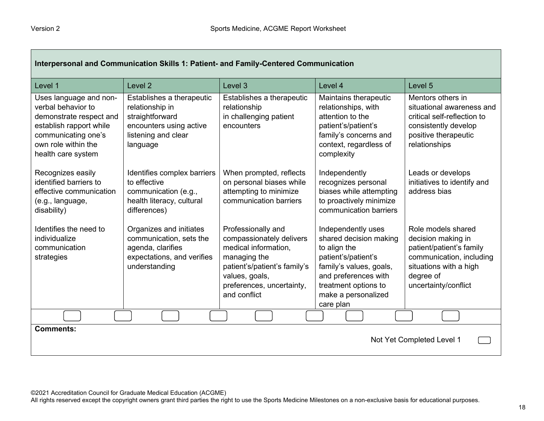| Interpersonal and Communication Skills 1: Patient- and Family-Centered Communication                                                                                   |                                                                                                                               |                                                                                                                                                                                       |                                                                                                                                                                                                    |                                                                                                                                                                 |
|------------------------------------------------------------------------------------------------------------------------------------------------------------------------|-------------------------------------------------------------------------------------------------------------------------------|---------------------------------------------------------------------------------------------------------------------------------------------------------------------------------------|----------------------------------------------------------------------------------------------------------------------------------------------------------------------------------------------------|-----------------------------------------------------------------------------------------------------------------------------------------------------------------|
| Level 1                                                                                                                                                                | Level <sub>2</sub>                                                                                                            | Level 3                                                                                                                                                                               | Level 4                                                                                                                                                                                            | Level <sub>5</sub>                                                                                                                                              |
| Uses language and non-<br>verbal behavior to<br>demonstrate respect and<br>establish rapport while<br>communicating one's<br>own role within the<br>health care system | Establishes a therapeutic<br>relationship in<br>straightforward<br>encounters using active<br>listening and clear<br>language | Establishes a therapeutic<br>relationship<br>in challenging patient<br>encounters                                                                                                     | Maintains therapeutic<br>relationships, with<br>attention to the<br>patient's/patient's<br>family's concerns and<br>context, regardless of<br>complexity                                           | Mentors others in<br>situational awareness and<br>critical self-reflection to<br>consistently develop<br>positive therapeutic<br>relationships                  |
| Recognizes easily<br>identified barriers to<br>effective communication<br>(e.g., language,<br>disability)                                                              | Identifies complex barriers<br>to effective<br>communication (e.g.,<br>health literacy, cultural<br>differences)              | When prompted, reflects<br>on personal biases while<br>attempting to minimize<br>communication barriers                                                                               | Independently<br>recognizes personal<br>biases while attempting<br>to proactively minimize<br>communication barriers                                                                               | Leads or develops<br>initiatives to identify and<br>address bias                                                                                                |
| Identifies the need to<br>individualize<br>communication<br>strategies                                                                                                 | Organizes and initiates<br>communication, sets the<br>agenda, clarifies<br>expectations, and verifies<br>understanding        | Professionally and<br>compassionately delivers<br>medical information,<br>managing the<br>patient's/patient's family's<br>values, goals,<br>preferences, uncertainty,<br>and conflict | Independently uses<br>shared decision making<br>to align the<br>patient's/patient's<br>family's values, goals,<br>and preferences with<br>treatment options to<br>make a personalized<br>care plan | Role models shared<br>decision making in<br>patient/patient's family<br>communication, including<br>situations with a high<br>degree of<br>uncertainty/conflict |
|                                                                                                                                                                        |                                                                                                                               |                                                                                                                                                                                       |                                                                                                                                                                                                    |                                                                                                                                                                 |
| <b>Comments:</b><br>Not Yet Completed Level 1                                                                                                                          |                                                                                                                               |                                                                                                                                                                                       |                                                                                                                                                                                                    |                                                                                                                                                                 |

All rights reserved except the copyright owners grant third parties the right to use the Sports Medicine Milestones on a non-exclusive basis for educational purposes.

┑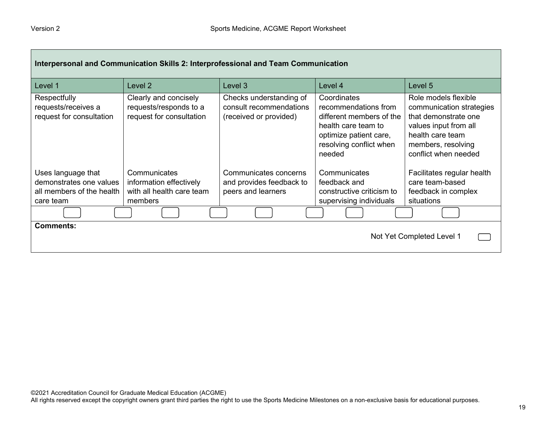Г

| Interpersonal and Communication Skills 2: Interprofessional and Team Communication      |                                                                                 |                                                                              |                                                                                                                                                       |                                                                                                                                                                     |
|-----------------------------------------------------------------------------------------|---------------------------------------------------------------------------------|------------------------------------------------------------------------------|-------------------------------------------------------------------------------------------------------------------------------------------------------|---------------------------------------------------------------------------------------------------------------------------------------------------------------------|
| Level 1                                                                                 | Level 2                                                                         | Level 3                                                                      | Level 4                                                                                                                                               | Level 5                                                                                                                                                             |
| Respectfully<br>requests/receives a<br>request for consultation                         | Clearly and concisely<br>requests/responds to a<br>request for consultation     | Checks understanding of<br>consult recommendations<br>(received or provided) | Coordinates<br>recommendations from<br>different members of the<br>health care team to<br>optimize patient care,<br>resolving conflict when<br>needed | Role models flexible<br>communication strategies<br>that demonstrate one<br>values input from all<br>health care team<br>members, resolving<br>conflict when needed |
| Uses language that<br>demonstrates one values<br>all members of the health<br>care team | Communicates<br>information effectively<br>with all health care team<br>members | Communicates concerns<br>and provides feedback to<br>peers and learners      | Communicates<br>feedback and<br>constructive criticism to<br>supervising individuals                                                                  | Facilitates regular health<br>care team-based<br>feedback in complex<br>situations                                                                                  |
|                                                                                         |                                                                                 |                                                                              |                                                                                                                                                       |                                                                                                                                                                     |
| <b>Comments:</b><br>Not Yet Completed Level 1                                           |                                                                                 |                                                                              |                                                                                                                                                       |                                                                                                                                                                     |

─